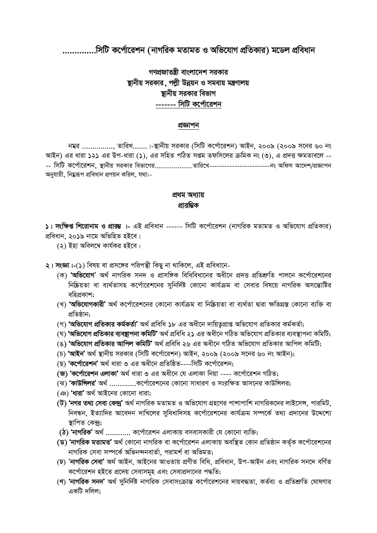..সিটি কর্পোরেশন (নাগরিক মতামত ও অভিযোগ প্রতিকার) মডেল প্রবিধান

# গণপ্রজাতন্ত্রী বাংলাদেশ সরকার <u>ষ্</u>ঠানীয় সরকার, পল্লী উন্নয়ন ও সমবায় মন্ত্রণালয় <u>ষ্</u>টানীয় সরকার বিভাগ ------- সিটি কর্পোরেশন

### প্ৰজ্ঞাপন

 $\overline{a}$ ম্বর *...............*, তারিখ.......।-স্থানীয় সরকার (সিটি কর্পোরেশন) আইন, ২০০৯ (২০০৯ সনের ৬০ নং *AvBb) Gi aviv 121 Gi Dc-aviv (1), Gi mwnZ cwVZ mßg Zdwm‡ji µwgK bs (3), G cÖ`Ë ¶gZve‡j -- -- wmwU K‡c©v‡ikb, ¯'vbxq miKvi wefv‡Mi....................Zvwi‡L------------------------bs Awdm Av‡`k/cÖÁvcb অ*নযায়ী, নিয়রূপ প্রবিধান প্রণয়ন করিল, যথা:-

### **প্ৰথম অধ্যায়** প্ৰাৱম্ভিক

 $\lambda$ । **সংক্ষিপ্ত শিরোনাম ও প্রারম্ভ** ।- এই প্রবিধান ------ সিটি কর্পোরেশন (নাগরিক মতামত ও অভিযোগ প্রতিকার)  $\alpha$ বিধান, ২০১৯ নামে অভিহিত হইবে।

*(*২) ইহা অবিলম্বে কাৰ্যকর হইবে।

 $2$ । সংজ্ঞা।-(১) বিষয় বা প্রসঙ্গের পরিপন্থী কিছু না থাকিলে, এই প্রবিধানে-

- *(*ক) **'অভিযোগ'** অৰ্থ নাগৱিক সনদ ও প্ৰাসঙ্গিক বিধিবিধানের অধীনে প্ৰদত্ত প্ৰতিশ্ৰুতি পালনে কৰ্পোৱেশনের *শি*ক্সিয়তা বা ব্যৰ্থতাসহ কৰ্পোৱেশনের সুনিৰ্দিষ্ট কোনো কাৰ্যক্ৰম বা সেবার বিষয়ে নাগরিক অসম্ভোষ্টির বহিপ্ৰকাশ:
- *(*খ) '**অভিযোগকারী'** অর্থ কর্পোরেশনের কোনো কার্যক্রম বা নিষ্ক্রিয়তা বা ব্যর্থতা দ্বারা ক্ষতিগ্রস্ত কোনো ব্যক্তি বা প্ৰতিষ্ঠান:
- *(গ*) 'অভিযোগ প্ৰতিকার কৰ্মকৰ্তা' অৰ্থ প্ৰবিধি ১৮ এর অধীনে দায়িতৃপ্রাপ্ত অভিযোগ প্রতিকার কর্মকর্তা;
- *(*ঘ) **'অভিযোগ প্ৰতিকার ব্যবস্থাপনা কমিটি'** অৰ্থ প্ৰবিধি ২১ এর অধীনে গঠিত অভিযোগ প্ৰতিকার ব্যবস্থাপনা কমিটি;
- *(*ঙ) 'অভিযোগ প্ৰতিকার আপিল কমিটি' অৰ্থ প্ৰবিধি ২৬ এর অধীনে গঠিত অভিযোগ প্ৰতিকার আপিল কমিটি;
- *(P)* **ÔAvBbÕ** *A\_© ¯'vbxq miKvi (wmwU K‡c©v‡ikb) AvBb, 2009 (2009 m‡bi 60 bs AvBb);*
- *(*ছ) **'কৰ্পোৱেশন'** অৰ্থ ধাৱা ৩ এৱ অধীনে প্ৰতিষ্ঠিত----সিটি কৰ্পোৱেশন;
- **(R) ÔK‡c©v‡ikb GjvKvÕ** *A\_© aviv 3 Gi Aax‡b †h GjvKv wbqv ---- K‡c©v‡ikb MwVZ;*
- *(ঝ*) **'কাউন্সিলর'** অর্থ ...............কর্পোরেশনের কোনো সাধারণ ও সংরক্ষিত আসনের কাউন্সিলর;
- *(* ঞ) 'ধারা' অর্থ আইনের কোনো ধারা;
- $( \vec{b} )$  **'নগর তথ্য সেবা কেন্দ্র'** অর্থ নাগরিক মতামত ও অভিযোগ গ্রহণের পাশাপাশি নাগরিকদের লাইসেন্স, পারমিট, *শিবন্ধন, ইত্যাদির আবেদন দাখিলের সুবিধাদিসহ কর্পোরেশনের কার্যক্রম সম্পর্কে তথ্য প্রদানের উদ্দেশ্যে স্তা*পিত কেন্দ:
- **(ঠ) 'নাগরিক'** অর্থ ............ কর্পোরেশন এলাকায় বসবাসকারী যে কোনো ব্যক্তি;
- $($ ড) **'নাগরিক মতামত'** অর্থ কোনো নাগরিক বা কর্পোরেশন এলাকায় অবস্থিত কোন প্রতিষ্ঠান কর্তক কর্পোরেশনের *নাগৱিক সেবা সম্পৰ্কে অভিনন্দনবাৰ্তা, পৱামৰ্শ বা অভিমত;*
- *(***X***) Õ***bvMwiK †mevÕ** *A\_© AvBb, AvB‡bi AvIZvq cÖYxZ wewa, cÖweavb, Dc-AvBb Ges bvMwiK mb‡` ewY©Z ক*ৰ্পোৱেশন হইতে প্ৰদেয় সেবাসমূহ এবং সেবাপ্ৰদানের পদ্ধতি;
- *(*ণ) **'নাগরিক সনদ'** অর্থ সুনির্দিষ্ট নাগরিক সেবাসংক্রান্ত কর্পোরেশনের দায়বদ্ধতা, কর্তব্য ও প্রতিশ্রুতি ঘোষণার একটি দলিল: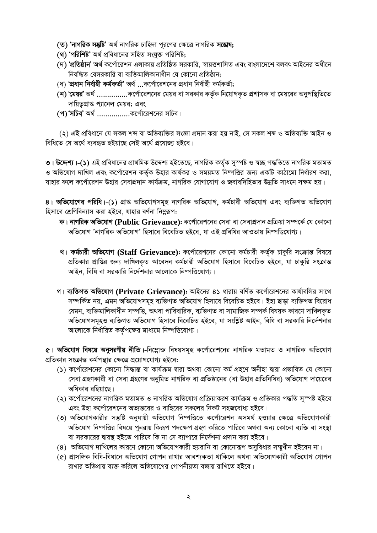- (ত) 'নাগরিক সন্তুষ্টি' অর্থ নাগরিক চাহিদা পূরণের ক্ষেত্রে নাগরিক সম্ভোষ;
- (থ) 'পরিশিষ্ট' অর্থ প্রবিধানের সহিত সংযুক্ত পরিশিষ্ট;
- (দ) **'প্রতিষ্ঠান'** অর্থ কর্পোরেশন এলাকায় প্রতিষ্ঠিত সরকারি, স্বায়ত্তশাসিত এবং বাংলাদেশে বলবৎ আইনের অধীনে নিবন্ধিত বেসরকারি বা ব্যক্তিমালিকানাধীন যে কোনো প্রতিষ্ঠান;
- (ধ) 'প্রধান নির্বাহী কর্মকর্তা' অর্থ ...কর্পোরেশনের প্রধান নির্বাহী কর্মকর্তা;
- (ন) 'মেয়র' অর্থ ..................কর্পোরেশনের মেয়র বা সরকার কর্তৃক নিয়োগকত প্রশাসক বা মেয়রের অনুপস্থিতিতে দায়িতৃপ্রাপ্ত প্যানেল মেয়র; এবং
- (প) 'সচিব' অর্থ ....................কর্পোরেশনের সচিব।

(২) এই প্রবিধানে যে সকল শব্দ বা অভিব্যক্তির সংজ্ঞা প্রদান করা হয় নাই, সে সকল শব্দ ও অভিব্যক্তি আইন ও বিধিতে যে অৰ্থে ব্যবহৃত হইয়াছে সেই অৰ্থে প্ৰযোজ্য হইবে।

৩। **উদ্দেশ্য।-(১)** এই প্রবিধানের প্রাথমিক উদ্দেশ্য হইতেছে, নাগরিক কর্তৃক সুস্পষ্ট ও স্বচ্ছ পদ্ধতিতে নাগরিক মতামত ও অভিযোগ দাখিল এবং কর্পোরেশন কর্তৃক উহার কার্যকর ও সময়মত নিষ্পত্তির জন্য একটি কাঠামো নির্ধারণ করা, যাহার ফলে কর্পোরেশন উহার সেবাপ্রদান কার্যক্রম, নাগরিক যোগাযোগ ও জবাবদিহিতার উন্নতি সাধনে সক্ষম হয়।

8। অভিযোগের পরিধি।-(১) প্রাপ্ত অভিযোগসমূহ নাগরিক অভিযোগ, কর্মচারী অভিযোগ এবং ব্যক্তিগত অভিযোগ হিসাবে শ্রেণিবিন্যাস করা হইবে, যাহার বর্ণনা নিমুরূপ:

- ক। নাগরিক অভিযোগ (Public Grievance): কর্পোরেশনের সেবা বা সেবাপ্রদান প্রক্রিয়া সম্পর্কে যে কোনো অভিযোগ 'নাগরিক অভিযোগ' হিসাবে বিবেচিত হইবে, যা এই প্রবিধির আওতায় নিম্পত্তিযোগ্য।
- খ। কর্মচারী অভিযোগ (Staff Grievance): কর্পোরেশনের কোনো কর্মচারী কর্তৃক চাকুরি সংক্রান্ত বিষয়ে প্রতিকার প্রাপ্তির জন্য দাখিলকৃত আবেদন কর্মচারী অভিযোগ হিসাবে বিবেচিত হইবে, যা চাকুরি সংক্রান্ত আইন, বিধি বা সরকারি নির্দেশনার আলোকে নিম্পত্তিযোগ্য।
- গ। ব্যক্তিগত অভিযোগ (Private Grievance): আইনের ৪১ ধারায় বর্ণিত কর্পোরেশনের কার্যাবলির সাথে সম্পৰ্কিত নয়, এমন অভিযোগসমহ ব্যক্তিগত অভিযোগ হিসাবে বিবেচিত হইবে। ইহা ছাডা ব্যক্তিগত বিরোধ যেমন, ব্যক্তিমালিকাধীন সম্পত্তি, অথবা পারিবারিক, ব্যক্তিগত বা সামাজিক সম্পর্ক বিষয়ক কারণে দাখিলকত অভিযোগসমূহও ব্যক্তিগত অভিযোগ হিসাবে বিবেচিত হইবে, যা সংশ্লিষ্ট আইন, বিধি বা সরকারি নির্দেশনার আলোকে নির্ধারিত কর্তৃপক্ষের মাধ্যমে নিম্পত্তিযোগ্য।

৫। অভিযোগ বিষয়ে অনুসরণীয় নীতি।-নিম্লোক্ত বিষয়সমূহ কর্পোরেশনের নাগরিক মতামত ও নাগরিক অভিযোগ প্রতিকার সংক্রান্ত কর্মপন্থার ক্ষেত্রে প্রয়োগযোগ্য হইবে:

- (১) কর্পোরেশনের কোনো সিদ্ধান্ত বা কার্যক্রম দ্বারা অথবা কোনো কর্ম গ্রহণে অনীহা দ্বারা প্রভাবিত যে কোনো সেবা গ্রহণকারী বা সেবা গ্রহণের অনুমিত নাগরিক বা প্রতিষ্ঠানের (বা উহার প্রতিনিধির) অভিযোগ দায়েরের অধিকার রহিয়াছে।
- (২) কর্পোরেশনের নাগরিক মতামত ও নাগরিক অভিযোগ প্রক্রিয়াকরণ কার্যক্রম ও প্রতিকার পদ্ধতি সুস্পষ্ট হইবে এবং উহা কর্পোরেশনের অভ্যন্তরের ও বাহিরের সকলের নিকট সহজবোধ্য হইবে।
- (৩) অভিযোগকারীর সম্ভুষ্টি অনুযায়ী অভিযোগ নিষ্পত্তিতে কর্পোরেশন অসমর্থ হওয়ার ক্ষেত্রে অভিযোগকারী অভিযোগ নিষ্পত্তির বিষয়ে পুনরায় কিরূপ পদক্ষেপ গ্রহণ করিতে পারিবে অথবা অন্য কোনো ব্যক্তি বা সংস্থা বা সরকারের দ্বারস্থ হইতে পারিবে কি না সে ব্যাপারে নির্দেশনা প্রদান করা হইবে।
- (৪) অভিযোগ দাখিলের কারণে কোনো অভিযোগকারী হয়রানি বা কোনোরূপ অসবিধার সম্মখীন হইবেন না।
- (৫) প্রাসঙ্গিক বিধি-বিধানে অভিযোগ গোপন রাখার আবশ্যকতা থাকিলে অথবা অভিযোগকারী অভিযোগ গোপন রাখার অভিপ্রায় ব্যক্ত করিলে অভিযোগের গোপনীয়তা বজায় রাখিতে হইবে।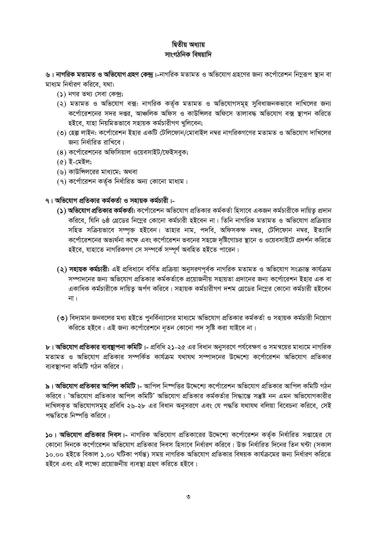### দ্বিতীয় অধ্যায় সাংগঠনিক বিষয়াদি

৬। নাগরিক মতামত ও অভিযোগ গ্রহণ কেন্দ্র।-নাগরিক মতামত ও অভিযোগ গ্রহণের জন্য কর্পোরেশন নিমুরূপ স্থান বা মাধ্যম নিৰ্ধাৱণ কৱিবে, যথা:

- $(5)$  নগর তথ্য সেবা কেন্দ্র;
- (২) মতামত ও অভিযোগ বক্স: নাগরিক কর্তৃক মতামত ও অভিযোগসমূহ সুবিধাজনকভাবে দাখিলের জন্য কর্পোরেশনের সদর দপ্তর, আঞ্চলিক অফিস ও কাউন্সিলর অফিসে তালাবদ্ধ অভিযোগ বক্স স্থাপন করিতে হইবে, যাহা নিয়মিতভাবে সহায়ক কৰ্মচারীগণ খুলিবেন;
- (৩) হেল্প লাইন: কর্পোরেশন ইহার একটি টেলিফোন/মোবাইল নম্বর নাগরিকগণের মতামত ও অভিযোগ দাখিলের জন্য নিৰ্ধাৱিত ৱাখিবে।
- (8) কর্পোরেশনের অফিসিয়াল ওয়েবসাইট/ফেইসবুক;
- $($ ৫) ই-মেইল;
- (৬) কাউন্সিলরের মাধ্যমে; অথবা
- (৭) কর্পোরেশন কর্তৃক নির্ধারিত অন্য কোনো মাধ্যম।
- ৭। অভিযোগ প্রতিকার কর্মকর্তা ও সহায়ক কর্মচারী।-
	- (১) **অভিযোগ প্রতিকার কর্মকর্তা:** কর্পোরেশন অভিযোগ প্রতিকার কর্মকর্তা হিসাবে একজন কর্মচারীকে দায়িত্ব প্রদান করিবে, যিনি ৬ষ্ঠ গ্রেডের নিম্নের কোনো কর্মচারী হইবেন না। তিনি নাগরিক মতামত ও অভিযোগ প্রক্রিয়ার সহিত সক্রিয়ভাবে সম্পৃক্ত হইবেন। তাহার নাম, পদবি, অফিসকক্ষ নম্বর, টেলিফোন নম্বর, ইত্যাদি কর্পোরেশনের অভ্যর্থনা কক্ষে এবং কর্পোরেশন ভবনের সহজে দৃষ্টিগোচর স্থানে ও ওয়েবসাইটে প্রদর্শন করিতে হইবে, যাহাতে নাগরিকগণ সে সম্পর্কে সম্পূর্ণ অবহিত হইতে পারেন।
	- (২) সহায়ক কৰ্মচারী: এই প্রবিধানে বর্ণিত প্রক্রিয়া অনুসরণপূর্বক নাগরিক মতামত ও অভিযোগ সংক্রান্ত কার্যক্রম সম্পাদনের জন্য অভিযোগ প্রতিকার কর্মকর্তাকে প্রয়োজনীয় সহায়তা প্রদানের জন্য কর্পোরেশন ইহার এক বা একাধিক কর্মচারীকে দায়িত অর্পণ করিবে। সহায়ক কর্মচারীগণ দশম গ্রেডের নিম্নের কোনো কর্মচারী হইবেন না।
	- (৩) বিদ্যমান জনবলের মধ্য হইতে পুনর্বিন্যাসের মাধ্যমে অভিযোগ প্রতিকার কর্মকর্তা ও সহায়ক কর্মচারী নিয়োগ করিতে হইবে। এই জন্য কর্পোরেশনে নৃতন কোনো পদ সৃষ্টি করা যাইবে না।

৮। **অভিযোগ প্রতিকার ব্যবস্থাপনা কমিটি।**- প্রবিধি ২১-২৫ এর বিধান অনুসরণে পর্যবেক্ষণ ও সমন্বয়ের মাধ্যমে নাগরিক মতামত ও অভিযোগ প্রতিকার সম্পর্কিত কার্যক্রম যথাযথ সম্পাদনের উদ্দেশ্যে কর্পোরেশন অভিযোগ প্রতিকার ব্যবস্থাপনা কমিটি গঠন করিবে।

৯। অভিযোগ প্রতিকার আপিল কমিটি।- আপিল নিষ্পত্তির উদ্দেশ্যে কর্পোরেশন অভিযোগ প্রতিকার আপিল কমিটি গঠন করিবে। 'অভিযোগ প্রতিকার আপিল কমিটি' অভিযোগ প্রতিকার কর্মকর্তার সিদ্ধান্তে সম্ভুষ্ট নন এমন অভিযোগকারীর দাখিলকৃত অভিযোগসমূহ প্রবিধি ২৬-২৮ এর বিধান অনুসরণে এবং যে পদ্ধতি যথাযথ বলিয়া বিবেচনা করিবে, সেই পদ্ধতিতে নিম্পত্তি করিবে।

১০। **অভিযোগ প্রতিকার দিবস।**- নাগরিক অভিযোগ প্রতিকারের উদ্দেশ্যে কর্পোরেশন কর্তৃক নির্ধারিত সপ্তাহের যে কোনো দিনকে কর্পোরেশন অভিযোগ প্রতিকার দিবস হিসাবে নির্ধারণ করিবে। উক্ত নির্ধারিত দিনের তিন ঘন্টা (সকাল ১০.০০ হইতে বিকাল ১.০০ ঘটিকা পৰ্যন্ত) সময় নাগরিক অভিযোগ প্রতিকার বিষয়ক কার্যক্রমের জন্য নির্ধারণ করিতে হইবে এবং এই লক্ষ্যে প্রয়োজনীয় ব্যবস্থা গ্রহণ করিতে হইবে।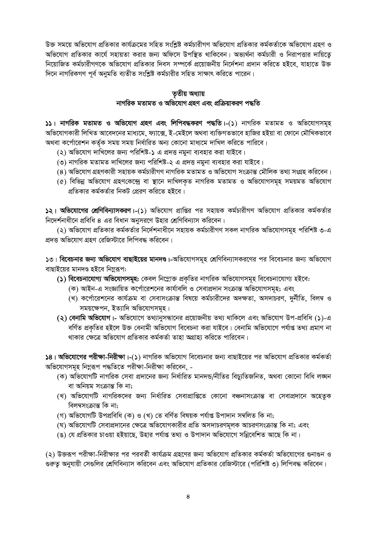উক্ত সময়ে অভিযোগ প্রতিকার কার্যক্রমের সহিত সংশ্লিষ্ট কর্মচারীগণ অভিযোগ প্রতিকার কর্মকর্তাকে অভিযোগ গ্রহণ ও অভিযোগ প্রতিকার কার্যে সহায়তা করার জন্য অফিসে উপস্থিত থাকিবেন। অভ্যর্থনা কর্মচারী ও নিরাপত্তার দায়িতে নিয়োজিত কর্মচারীগণকে অভিযোগ প্রতিকার দিবস সম্পর্কে প্রয়োজনীয় নির্দেশনা প্রদান করিতে হইবে, যাহাতে উক্ত দিনে নাগরিকগণ পূর্ব অনুমতি ব্যতীত সংশ্লিষ্ট কর্মচারীর সহিত সাক্ষাৎ করিতে পারেন।

# তৃতীয় অধ্যায়

## নাগরিক মতামত ও অভিযোগ গ্রহণ এবং প্রক্রিয়াকরণ পদ্ধতি

১১। নাগরিক মতামত ও অভিযোগ গ্রহণ এবং লিপিবদ্ধকরণ পদ্ধতি।-(১) নাগরিক মতামত ও অভিযোগসমূহ অভিযোগকারী লিখিত আবেদনের মাধ্যমে, ফ্যাক্সে, ই-মেইলে অথবা ব্যক্তিগতভাবে হাজির হইয়া বা ফোনে মৌখিকভাবে অথবা কর্পোরেশন কর্তৃক সময় সময় নির্ধারিত অন্য কোনো মাধ্যমে দাখিল করিতে পারিবে।

- (২) অভিযোগ দাখিলের জন্য পরিশিষ্ট-১ এ প্রদত্ত নমুনা ব্যবহার করা যাইবে।
- (৩) নাগরিক মতামত দাখিলের জন্য পরিশিষ্ট-২ এ প্রদত্ত নমুনা ব্যবহার করা যাইবে।
- (৪) অভিযোগ গ্রহণকারী সহায়ক কর্মচারীগণ নাগরিক মতামত ও অভিযোগ সংক্রান্ত মৌলিক তথ্য সংগ্রহ করিবেন।
- (৫) বিভিন্ন অভিযোগ গ্রহণকেন্দ্রে বা স্থানে দাখিলকৃত নাগরিক মতামত ও অভিযোগসমূহ সময়মত অভিযোগ প্রতিকার কর্মকর্তার নিকট প্রেরণ করিতে হইবে।

১২। অভিযোগের শ্রেণিবিন্যাসকরণ।-(১) অভিযোগ প্রাপ্তির পর সহায়ক কর্মচারীগণ অভিযোগ প্রতিকার কর্মকর্তার নিদের্শনাধীনে প্রবিধি ৪ এর বিধান অনুসরণে উহার শ্রেণিবিন্যাস করিবেন।

(২) অভিযোগ প্রতিকার কর্মকর্তার নির্দেশনাধীনে সহায়ক কর্মচারীগণ সকল নাগরিক অভিযোগসমূহ পরিশিষ্ট ৩-এ প্রদত্ত অভিযোগ গ্রহণ রেজিস্টারে লিপিবদ্ধ করিবেন।

১৩। বিবেচনার জন্য অভিযোগ বাছাইয়ের মানদণ্ড।-অভিযোগসমূহ শ্রেণিবিন্যাসকরণের পর বিবেচনার জন্য অভিযোগ বাছাইয়ের মানদণ্ড হইবে নিম্নরূপ:

(১) বিবেচনাযোগ্য অভিযোগসমূহ: কেবল নিম্নোক্ত প্রকৃতির নাগরিক অভিযোগসমূহ বিবেচনাযোগ্য হইবে:

- (ক) আইন-এ সংজ্ঞায়িত কর্পোরেশনের কার্যাবলি ও সেবাপ্রদান সংক্রান্ত অভিযোগসমূহ; এবং
- (খ) কর্পোরেশনের কার্যক্রম বা সেবাসংক্রান্ত বিষয়ে কর্মচারীদের অদক্ষতা, অসদাচরণ, দুর্নীতি, বিলম্ব ও সময়ক্ষেপন, ইত্যাদি অভিযোগসমূহ।
- (২) বেনামি অভিযোগ।- অভিযোগে তথ্যানুসন্ধানের প্রয়োজনীয় তথ্য থাকিলে এবং অভিযোগ উপ-প্রবিধি (১)-এ বর্ণিত প্রকৃতির হইলে উক্ত বেনামী অভিযোগ বিবেচনা করা যাইবে। বেনামি অভিযোগে পর্যাপ্ত তথ্য প্রমাণ না থাকার ক্ষেত্রে অভিযোগ প্রতিকার কর্মকর্তা তাহা অগ্রাহ্য করিতে পারিবেন।

১৪। **অভিযোগের পরীক্ষা-নিরীক্ষা**।-(১) নাগরিক অভিযোগ বিবেচনার জন্য বাছাইয়ের পর অভিযোগ প্রতিকার কর্মকর্তা অভিযোগসমূহ নিম্নুরূপ পদ্ধতিতে পরীক্ষা-নিরীক্ষা করিবেন, -

- (ক) অভিযোগটি নাগরিক সেবা প্রদানের জন্য নির্ধারিত মানদন্ড/নীতির বিচ্যুতিজনিত, অথবা কোনো বিধি লজ্ঞন বা অনিয়ম সংক্ৰান্ত কি না;
- (খ) অভিযোগটি নাগরিকদের জন্য নির্ধারিত সেবাপ্রাপ্তিতে কোনো বঞ্চনাসংক্রান্ত বা সেবাপ্রদানে অহেতুক বিলম্বসংক্ৰান্ত কি না;
- (গ) অভিযোগটি উপপ্ৰবিধি (ক) ও (খ) তে বৰ্ণিত বিষয়ক পৰ্যাপ্ত উপাদান সম্বলিত কি না;
- (ঘ) অভিযোগটি সেবাপ্রদানের ক্ষেত্রে অভিযোগকারীর প্রতি অসদাচরণমূলক আচরণসংক্রান্ত কি না; এবং
- (ঙ) যে প্রতিকার চাওয়া হইয়াছে, উহার পর্যাপ্ত তথ্য ও উপাদান অভিযোগে সন্নিবেশিত আছে কি না।

(২) উক্তরূপ পরীক্ষা-নিরীক্ষার পর পরবর্তী কার্যক্রম গ্রহণের জন্য অভিযোগ প্রতিকার কর্মকর্তা অভিযোগের গুনাগুন ও গুরুতূ অনুযায়ী সেগুলির শ্রেণিবিন্যাস করিবেন এবং অভিযোগ প্রতিকার রেজিস্টারে (পরিশিষ্ট ৩) লিপিবদ্ধ করিবেন।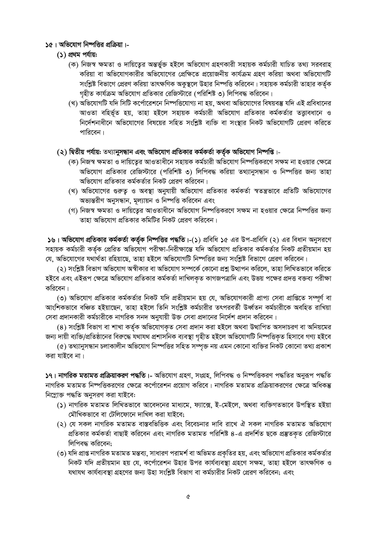### ১৫। অভিযোগ নিষ্পত্তির প্রক্রিয়া।-

- (১) প্ৰথম পৰ্যায়:
	- (ক) নিজস্ব ক্ষমতা ও দায়িত্বের অন্তর্ভুক্ত হইলে অভিযোগ গ্রহণকারী সহায়ক কর্মচারী যাচিত তথ্য সরবরাহ করিয়া বা অভিযোগকারীর অভিযোগের প্রেক্ষিতে প্রয়োজনীয় কার্যক্রম গ্রহণ করিয়া অথবা অভিযোগটি সংশ্লিষ্ট বিভাগে প্রেরণ করিয়া তাৎক্ষণিক অকুস্থলে উহার নিম্পত্তি করিবেন। সহায়ক কর্মচারী তাহার কর্তৃক গহীত কার্যক্রম অভিযোগ প্রতিকার রেজিস্টারে (পরিশিষ্ট ৩) লিপিবদ্ধ করিবেন।
	- (খ) অভিযোগটি যদি সিটি কর্পোরেশনে নিষ্পত্তিযোগ্য না হয়, অথবা অভিযোগের বিষয়বস্তু যদি এই প্রবিধানের আওতা বহিৰ্ভূত হয়, তাহা হইলে সহায়ক কৰ্মচারী অভিযোগ প্ৰতিকার কৰ্মকৰ্তার তত্তাবধানে ও নির্দেশনাধীনে অভিযোগের বিষয়ের সহিত সংশ্লিষ্ট ব্যক্তি বা সংস্থার নিকট অভিযোগটি প্রেরণ করিতে পারিবেন।

### (২) দ্বিতীয় পর্যায়: তথ্যানুসন্ধান এবং অভিযোগ প্রতিকার কর্মকর্তা কর্তৃক অভিযোগ নিষ্পপ্তি।-

- (ক) নিজস্ব ক্ষমতা ও দায়িত্বের আওতাধীনে সহায়ক কর্মচারী অভিযোগ নিষ্পত্তিকরণে সক্ষম না হওয়ার ক্ষেত্রে অভিযোগ প্রতিকার রেজিস্টারে (পরিশিষ্ট ৩) লিপিবদ্ধ করিয়া তথ্যানুসন্ধান ও নিম্পত্তির জন্য তাহা অভিযোগ প্রতিকার কর্মকর্তার নিকট প্রেরণ করিবেন।
- (খ) অভিযোগের গুরুত্ব ও অবস্থা অনুযায়ী অভিযোগ প্রতিকার কর্মকর্তা স্বতন্ত্রভাবে প্রতিটি অভিযোগের অভ্যন্তরীণ অনুসন্ধান, মূল্যায়ন ও নিম্পত্তি করিবেন এবং
- (গ) নিজস্ব ক্ষমতা ও দায়িতের আওতাধীনে অভিযোগ নিষ্পত্তিকরণে সক্ষম না হওয়ার ক্ষেত্রে নিষ্পত্তির জন্য তাহা অভিযোগ প্রতিকার কমিটির নিকট প্রেরণ করিবেন।

১৬। অভিযোগ প্রতিকার কর্মকর্তা কর্তৃক নিষ্পত্তির পদ্ধতি।-(১) প্রবিধি ১৫ এর উপ-প্রবিধি (২) এর বিধান অনুসরণে সহায়ক কৰ্মচারী কৰ্তৃক প্ৰেরিত অভিযোগ পরীক্ষা-নিরীক্ষান্তে যদি অভিযোগ প্রতিকার কর্মকর্তার নিকট প্রতীয়মান হয় যে, অভিযোগের যথার্থতা রহিয়াছে, তাহা হইলে অভিযোগটি নিষ্পত্তির জন্য সংশ্লিষ্ট বিভাগে প্রেরণ করিবেন।

(২) সংশ্লিষ্ট বিভাগ অভিযোগ অস্বীকার বা অভিযোগ সম্পর্কে কোনো প্রশ্ন উত্থাপন করিলে, তাহা লিখিতভাবে করিতে হইবে এবং এইরূপ ক্ষেত্রে অভিযোগ প্রতিকার কর্মকর্তা দাখিলকৃত কাগজপত্রাদি এবং উভয় পক্ষের প্রদত্ত বক্তব্য পরীক্ষা করিবেন।

(৩) অভিযোগ প্রতিকার কর্মকর্তার নিকট যদি প্রতীয়মান হয় যে, অভিযোগকারী প্রাপ্য সেবা প্রাপ্তিতে সম্পূর্ণ বা আংশিকভাবে বঞ্চিত হইয়াছেন, তাহা হইলে তিনি সংশ্লিষ্ট কর্মচারীর তৎপরবর্তী উর্ধ্বতন কর্মচারীকে অবহিত রাখিয়া সেবা প্রদানকারী কর্মচারীকে নাগরিক সনদ অনুযায়ী উক্ত সেবা প্রদানের নির্দেশ প্রদান করিবেন।

(৪) সংশ্লিষ্ট বিভাগ বা শাখা কৰ্তৃক অভিযোগকৃত সেবা প্ৰদান করা হইলে অথবা উত্থাপিত অসদাচরণ বা অনিয়মের জন্য দায়ী ব্যক্তি/প্ৰতিষ্ঠানের বিরুদ্ধে যথাযথ প্রশাসনিক ব্যবস্থা গহীত হইলে অভিযোগটি নিষ্পত্তিকত হিসাবে গণ্য হইবে

(৫) তথ্যানুসন্ধান চলাকালীন অভিযোগ নিস্পত্তির সহিত সম্পৃক্ত নয় এমন কোনো ব্যক্তির নিকট কোনো তথ্য প্রকাশ করা যাইবে না।

১৭। **নাগরিক মতামত প্রক্রিয়াকরণ পদ্ধতি।**- অভিযোগ গ্রহণ, সংগ্রহ, লিপিবদ্ধ ও নিম্পত্তিকরণ পদ্ধতির অনুরূপ পদ্ধতি নাগরিক মতামত নিষ্পত্তিকরণের ক্ষেত্রে কর্পোরেশন প্রয়োগ করিবে। নাগরিক মতামত প্রক্রিয়াকরণের ক্ষেত্রে অধিকন্তু নিম্নোক্ত পদ্ধতি অনুসরণ করা যাইবে:

- (১) নাগরিক মতামত লিখিতভাবে আবেদনের মাধ্যমে, ফ্যাক্সে, ই-মেইলে, অথবা ব্যক্তিগতভাবে উপস্থিত হইয়া মৌখিকভাবে বা টেলিফোনে দাখিল করা যাইবে;
- (২) যে সকল নাগরিক মতামত বাস্তবভিত্তিক এবং বিবেচনার দাবি রাখে ঐ সকল নাগরিক মতামত অভিযোগ প্রতিকার কর্মকর্তা বাছাই করিবেন এবং নাগরিক মতামত পরিশিষ্ট ৪-এ প্রদর্শিত ছকে প্রস্তুতকত রেজিস্টারে লিপিবদ্ধ করিবেন:
- (৩) যদি প্রাপ্ত নাগরিক মতামত মন্তব্য, সাধারণ পরামর্শ বা অভিমত প্রকৃতির হয়, এবং অভিযোগ প্রতিকার কর্মকর্তার নিকট যদি প্রতীয়মান হয় যে, কর্পোরেশন উহার উপর কার্যব্যবস্থা গ্রহণে সক্ষম, তাহা হইলে তাৎক্ষণিক ও যথাযথ কাৰ্যব্যবস্থা গ্ৰহণের জন্য উহা সংশ্লিষ্ট বিভাগ বা কৰ্মচারীর নিকট প্রেরণ করিবেন; এবং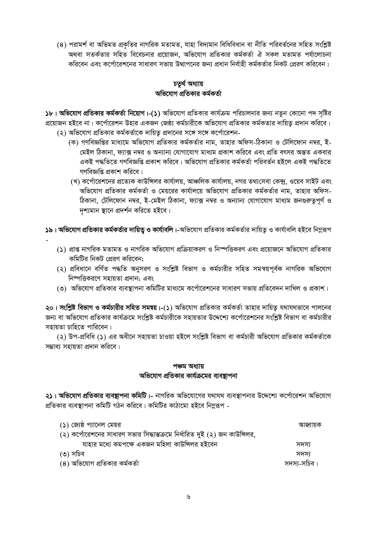(৪) পরামর্শ বা অভিমত প্রকৃতির নাগরিক মতামত, যাহা বিদ্যমান বিধিবিধান বা নীতি পরিবর্তনের সহিত সংশ্লিষ্ট অথবা সতর্কতার সহিত বিবেচনার প্রয়োজন, অভিযোগ প্রতিকার কর্মকর্তা ঐ সকল মতামত পর্যালোচনা করিবেন এবং কর্পোরেশনের সাধারণ সভায় উত্থাপনের জন্য প্রধান নির্বাহী কর্মকর্তার নিকট প্রেরণ করিবেন।

### চতৰ্থ অধ্যায় অভিযোগ প্রতিকার কর্মকর্তা

১৮। অভিযোগ প্রতিকার কর্মকর্তা নিয়োগ।-(১) অভিযোগ প্রতিকার কার্যক্রম পরিচালনার জন্য নতুন কোনো পদ সৃষ্টির প্রয়োজন হইবে না। কর্পোরেশন উহার একজন জেষ্ঠ্য কর্মচারীকে অভিযোগ প্রতিকার কর্মকতার দায়িতু প্রদান করিবে। (২) অভিযোগ প্রতিকার কর্মকর্তাকে দায়িতু প্রদানের সঙ্গে সঙ্গে কর্পোরেশন-

- (ক) গণবিজ্ঞপ্তির মাধ্যমে অভিযোগ প্রতিকার কর্মকর্তার নাম, তাহার অফিস-ঠিকানা ও টেলিফোন নম্বর, ই-মেইল ঠিকানা, ফ্যাক্স নম্বর ও অন্যান্য যোগাযোগ মাধ্যম প্রকাশ করিবে এবং প্রতি বৎসর অন্তত একবার একই পদ্ধতিতে গণবিজ্ঞপ্তি প্ৰকাশ করিবে। অভিযোগ প্রতিকার কর্মকর্তা পরিবর্তন হইলে একই পদ্ধতিতে গণবিজ্ঞপ্তি প্রকাশ করিবে।
- (খ) কর্পোরেশনের প্রত্যেক কাউন্সিলর কার্যালয়, আঞ্চলিক কার্যালয়, নগর তথ্যসেবা কেন্দ্র, ওয়েব সাইট এবং অভিযোগ প্রতিকার কর্মকর্তা ও মেয়রের কার্যালয়ে অভিযোগ প্রতিকার কর্মকর্তার নাম, তাহার অফিস-ঠিকানা, টেলিফোন নম্বর, ই-মেইল ঠিকানা, ফ্যাক্স নম্বর ও অন্যান্য যোগাযোগ মাধ্যম জনগুরুতুপূর্ণ ও দশ্যমান স্থানে প্রদর্শন করিতে হইবে।

১৯। অভিযোগ প্রতিকার কর্মকর্তার দায়িতু ও কার্যাবলি।-অভিযোগ প্রতিকার কর্মকর্তার দায়িতু ও কার্যাবলি হইবে নিমুরূপ

- (১) প্রাপ্ত নাগরিক মতামত ও নাগরিক অভিযোগ প্রক্রিয়াকরণ ও নিস্পত্তিকরণ এবং প্রয়োজনে অভিযোগ প্রতিকার কমিটির নিকট প্রেরণ করিবেন;
- (২) প্রবিধানে বর্ণিত পদ্ধতি অনুসরণ ও সংশ্লিষ্ট বিভাগ ও কর্মচারীর সহিত সমন্বয়পূর্বক নাগরিক অভিযোগ নিম্পত্তিকরণে সহায়তা প্রদান; এবং
- (৩) অভিযোগ প্রতিকার ব্যবস্থাপনা কমিটির মাধ্যমে কর্পোরেশনের সাধারণ সভায় প্রতিবেদন দাখিল ও প্রকাশ।

২০। সংশ্লিষ্ট বিভাগ ও কর্মচারীর সহিত সমন্বয়।-(১) অভিযোগ প্রতিকার কর্মকর্তা তাহার দায়িত্ব যথাযথভাবে পালনের জন্য বা অভিযোগ প্রতিকার কার্যক্রমে সংশ্লিষ্ট কর্মচারীকে সহায়তার উদ্দেশ্যে কর্পোরেশনের সংশ্লিষ্ট বিভাগ বা কর্মচারীর সহায়তা চাহিতে পারিবেন।

(২) উপ-প্রবিধি (১) এর অধীনে সহায়তা চাওয়া হইলে সংশ্লিষ্ট বিভাগ বা কর্মচারী অভিযোগ প্রতিকার কর্মকর্তাকে সম্ভাব্য সহায়তা প্ৰদান করিবে।

### পঞ্চম অধ্যায় অভিযোগ প্রতিকার কার্যক্রমের ব্যবস্থাপনা

২১। অভিযোগ প্রতিকার ব্যবষ্থাপনা কমিটি।- নাগরিক অভিযোগের যথাযথ ব্যবস্থাপনার উদ্দেশ্যে কর্পোরেশন অভিযোগ প্রতিকার ব্যবস্থাপনা কমিটি গঠন করিবে। কমিটির কাঠামো হইবে নিম্নরূপ -

| (১) জ্যেষ্ঠ প্যানেল মেয়র                                                  | আহ্বায়ক     |
|----------------------------------------------------------------------------|--------------|
| (২) কর্পোরেশনের সাধারণ সভার সিদ্ধান্তক্রমে নির্ধারিত দুই (২) জন কাউন্সিলর, |              |
| যাহার মধ্যে কমপক্ষে একজন মহিলা কাউন্সিলর হইবেন                             | সদস্য        |
| (৩) সচিব                                                                   | সদস্য        |
| (৪) অভিযোগ প্রতিকার কর্মকর্তা                                              | সদস্য-সচিব । |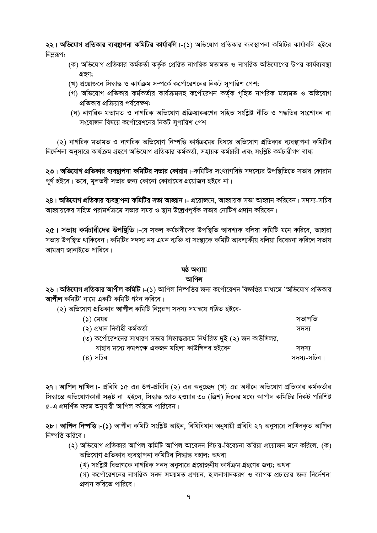২২। অভিযোগ প্রতিকার ব্যবন্থাপনা কমিটির কার্যাবলি।-(১) অভিযোগ প্রতিকার ব্যবস্থাপনা কমিটির কার্যাবলি হইবে নিমুরূপ:

- (ক) অভিযোগ প্রতিকার কর্মকর্তা কর্তৃক প্রেরিত নাগরিক মতামত ও নাগরিক অভিযোগের উপর কার্যব্যবস্থা গ্ৰহণ:
- (খ) প্রয়োজনে সিদ্ধান্ত ও কার্যক্রম সম্পর্কে কর্পোরেশনের নিকট সুপারিশ পেশ;
- (গ) অভিযোগ প্রতিকার কর্মকর্তার কার্যক্রমসহ কর্পোরেশন কর্তৃক গৃহিত নাগরিক মতামত ও অভিযোগ প্রতিকার প্রক্রিয়ার পর্যবেক্ষণ;
- (ঘ) নাগরিক মতামত ও নাগরিক অভিযোগ প্রক্রিয়াকরণের সহিত সংশ্লিষ্ট নীতি ও পদ্ধতির সংশোধন বা সংযোজন বিষয়ে কর্পোরেশনের নিকট সুপারিশ পেশ।

(২) নাগরিক মতামত ও নাগরিক অভিযোগ নিষ্পত্তি কার্যক্রমের বিষয়ে অভিযোগ প্রতিকার ব্যবস্থাপনা কমিটির নির্দেশনা অনসারে কার্যক্রম গ্রহণে অভিযোগ প্রতিকার কর্মকর্তা, সহায়ক কর্মচারী এবং সংশ্লিষ্ট কর্মচারীগণ বাধ্য।

২৩। **অভিযোগ প্রতিকার ব্যবন্থাপনা কমিটির সভার কোরাম।**-কমিটির সংখ্যাগরিষ্ঠ সদস্যের উপস্থিতিতে সভার কোরাম পূর্ণ হইবে। তবে, মূলতবী সভার জন্য কোনো কোরামের প্রয়োজন হইবে না।

২৪। **অভিযোগ প্রতিকার ব্যবষ্টাপনা কমিটির সভা আহ্বান।**- প্রয়োজনে, আহ্বায়ক সভা আহ্বান করিবেন। সদস্য-সচিব আহ্বায়কের সহিত পরামর্শক্রমে সভার সময় ও স্থান উল্লেখপূর্বক সভার নোটিশ প্রদান করিবেন।

২৫। সভায় কর্মচারীদের উপষ্থিতি।-যে সকল কর্মচারীদের উপস্থিতি আবশ্যক বলিয়া কমিটি মনে করিবে, তাহারা সভায় উপস্থিত থাকিবেন। কমিটির সদস্য নয় এমন ব্যক্তি বা সংস্থাকে কমিটি আবশ্যকীয় বলিয়া বিবেচনা করিলে সভায় আমন্ত্রণ জানাইতে পারিবে।

# ষষ্ঠ অধ্যায়

### আপিল

২৬। <mark>অভিযোগ প্রতিকার আপীল কমিটি।-(১</mark>) আপিল নিষ্পত্তির জন্য কর্পোরেশন বিজ্ঞপ্তির মাধ্যমে 'অভিযোগ প্রতিকার আপীল কমিটি' নামে একটি কমিটি গঠন করিবে।

(২) অভিযোগ প্রতিকার **আপীল** কমিটি নিম্নরূপ সদস্য সমন্বয়ে গঠিত হইবে-

| (১) মেয়র                                                                  | সভাপতি      |
|----------------------------------------------------------------------------|-------------|
| (২) প্ৰধান নিৰ্বাহী কৰ্মকৰ্তা                                              | সদস্য       |
| (৩) কর্পোরেশনের সাধারণ সভার সিদ্ধান্তক্রমে নির্ধারিত দুই (২) জন কাউন্সিলর, |             |
| যাহার মধ্যে কমপক্ষে একজন মহিলা কাউন্সিলর হইবেন                             | সদস্য       |
| (৪) সচিব                                                                   | সদস্য-সচিব। |

২৭। আপিল দাখিল।- প্রবিধি ১৫ এর উপ-প্রবিধি (২) এর অনুচ্ছেদ (খ) এর অধীনে অভিযোগ প্রতিকার কর্মকর্তার সিদ্ধান্তে অভিযোগকারী সম্ভুষ্ট না হুইলে, সিদ্ধান্ত জ্ঞাত হওয়ার ৩০ (ত্রিশ) দিনের মধ্যে আপীল কমিটির নিকট পরিশিষ্ট ৫-এ প্রদর্শিত ফরম অনযায়ী আপিল করিতে পারিবেন।

২৮। **আপিল নিষ্পত্তি।-(১)** আপীল কমিটি সংশ্লিষ্ট আইন, বিধিবিধান অনুযায়ী প্ৰবিধি ২৭ অনুসারে দাখিলকত আপিল নিষ্পত্তি করিবে।

(২) অভিযোগ প্রতিকার আপিল কমিটি আপিল আবেদন বিচার-বিবেচনা করিয়া প্রয়োজন মনে করিলে, (ক) অভিযোগ প্রতিকার ব্যবস্থাপনা কমিটির সিদ্ধান্ত বহাল; অথবা

(খ) সংশ্লিষ্ট বিভাগকে নাগরিক সনদ অনুসারে প্রয়োজনীয় কার্যক্রম গ্রহণের জন্য; অথবা

(গ) কর্পোরেশনের নাগরিক সনদ সময়মত প্রণয়ন, হালনাগাদকরণ ও ব্যাপক প্রচারের জন্য নির্দেশনা প্রদান করিতে পারিবে।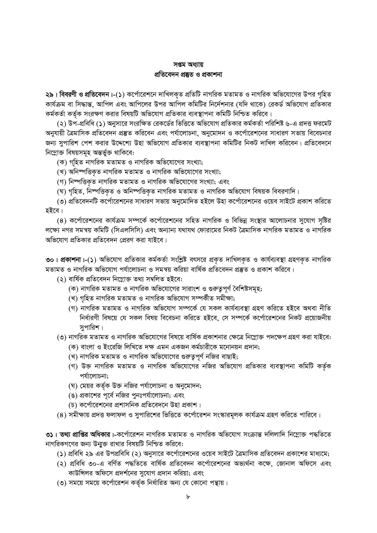## সপ্তম অধ্যায় প্ৰতিবেদন প্ৰষ্কুত ও প্ৰকাশনা

২৯। বিবরণী ও প্রতিবেদন।-(১) কর্পোরেশনে দাখিলকৃত প্রতিটি নাগরিক মতামত ও নাগরিক অভিযোগের উপর গৃহিত কার্যক্রম বা সিদ্ধান্ত, আপিল এবং আপিলের উপর আপিল কমিটির নির্দেশনার (যদি থাকে) রেকর্ড অভিযোগ প্রতিকার কর্মকর্তা কর্তৃক সংরক্ষণ করার বিষয়টি অভিযোগ প্রতিকার ব্যবস্থাপনা কমিটি নিশ্চিত করিবে।

(২) উপ-প্রবিধি (১) অনুসারে সংরক্ষিত রেকর্ডের ভিত্তিতে অভিযোগ প্রতিকার কর্মকর্তা পরিশিষ্ট ৬-এ প্রদত্ত ফরমেট অনুযায়ী ত্রৈমাসিক প্রতিবেদন প্রস্তুত করিবেন এবং পর্যালোচনা, অনুমোদন ও কর্পোরেশনের সাধারণ সভায় বিবেচনার জন্য সুপারিশ পেশ করার উদ্দেশ্যে উহা অভিযোগ প্রতিকার ব্যবস্থাপনা কমিটির নিকট দাখিল করিবেন। প্রতিবেদনে নিম্নোক্ত বিষয়সমূহ অন্তৰ্ভুক্ত থাকিবে:

(ক) গহিত নাগরিক মতামত ও নাগরিক অভিযোগের সংখ্যা;

(খ) অনিম্পত্তিকৃত নাগরিক মতামত ও নাগরিক অভিযোগের সংখ্যা;

(গ) নিষ্পত্তিকৃত নাগরিক মতামত ও নাগরিক অভিযোগের সংখ্যা; এবং

(ঘ) গৃহিত, নিষ্পত্তিকৃত ও অনিম্পত্তিকৃত নাগরিক মতামত ও নাগরিক অভিযোগ বিষয়ক বিবরণাদি।

(৩) প্রতিবেদনটি কর্পোরেশনের সাধারণ সভায় অনুমোদিত হইলে উহা কর্পোরেশনের ওয়েব সাইটে প্রকাশ করিতে হইবে।

(৪) কর্পোরেশনের কার্যক্রম সম্পর্কে কর্পোরেশনের সহিত নাগরিক ও বিভিন্ন সংস্থার আলোচনার সুযোগ সৃষ্টির লক্ষ্যে নগর সমন্বয় কমিটি (সিএলসিসি) এবং অন্যান্য যথাযথ ফোরামের নিকট ত্রৈমাসিক নাগরিক মতামত ও নাগরিক অভিযোগ প্রতিকার প্রতিবেদন প্রেরণ করা যাইবে।

৩০। প্রকাশনা।-(১) অভিযোগ প্রতিকার কর্মকর্তা সংশ্লিষ্ট বৎসরে প্রকৃত দাখিলকৃত ও কার্যব্যবস্থা গ্রহণকৃত নাগরিক মতামত ও নাগরিক অভিযোগ পর্যালোচনা ও সমন্বয় করিয়া বার্ষিক প্রতিবেদন প্রস্তুত ও প্রকাশ করিবে।

(২) বাৰ্ষিক প্ৰতিবেদন নিম্নোক্ত তথ্য সম্বলিত হইবে:

- (ক) নাগরিক মতামত ও নাগরিক অভিযোগের সারাংশ ও গুরুত্বপূর্ণ বৈশিষ্টসমূহ;
- (খ) গৃহিত নাগরিক মতামত ও নাগরিক অভিযোগ সম্পর্কীত সমীক্ষা;
- (গ) নাগরিক মতামত ও নাগরিক অভিযোগ সম্পর্কে যে সকল কার্যব্যবস্থা গ্রহণ করিতে হইবে অথবা নীতি নির্ধারণী বিষয়ে যে সকল বিষয় বিবেচনা করিতে হইবে, সে সম্পর্কে কর্পোরেশনের নিকট প্রয়োজনীয় সুপারিশ।

(৩) নাগরিক মতামত ও নাগরিক অভিযোগের বিষয়ে বার্ষিক প্রকাশনার ক্ষেত্রে নিম্নোক্ত পদক্ষেপ গ্রহণ করা যাইবে:

- (ক) বাংলা ও ইংরেজি লিখিতে দক্ষ এমন একজন কর্মচারীকে মনোনয়ন প্রদান;
- (খ) নাগরিক মতামত ও নাগরিক অভিযোগের গুরুতুপূর্ণ নজির বাছাই;
- (গ) উক্ত নাগরিক মতামত ও নাগরিক অভিযোগের নজির অভিযোগ প্রতিকার ব্যবস্থাপনা কমিটি কর্তৃক পর্যালোচনা;
- (ঘ) মেয়র কর্তৃক উক্ত নজির পর্যালোচনা ও অনুমোদন;
- (ঙ) প্রকাশের পূর্বে নজির পুনঃপর্যালোচনা; এবং
- (চ) কর্পোরেশনের প্রশাসনিক প্রতিবেদনে উহা প্রকাশ।
- (৪) সমীক্ষায় প্রদত্ত ফলাফল ও সুপারিশের ভিত্তিতে কর্পোরেশন সংস্কারমূলক কার্যক্রম গ্রহণ করিতে পারিবে।

৩১। তথ্য প্রাপ্তির অধিকার।-কর্পোরেশন নাগরিক মতামত ও নাগরিক অভিযোগ সংক্রান্ত দলিলাদি নিম্নোক্ত পদ্ধতিতে নাগরিকগণের জন্য উন্মুক্ত রাখার বিষয়টি নিশ্চিত করিবে:

- (১) প্রবিধি ২৯ এর উপপ্রবিধি (২) অনুসারে কর্পোরেশনের ওয়েব সাইটে ত্রৈমাসিক প্রতিবেদন প্রকাশের মাধ্যমে;
- (২) প্রবিধি ৩০-এ বর্ণিত পদ্ধতিতে বার্ষিক প্রতিবেদন কর্পোরেশনের অভ্যর্থনা কক্ষে, জোনাল অফিসে এবং কাউন্সিলর অফিসে প্রদর্শনের সুযোগ প্রদান করিয়া; এবং
- (৩) সময়ে সময়ে কর্পোরেশন কর্তৃক নির্ধারিত অন্য যে কোনো পন্থায়।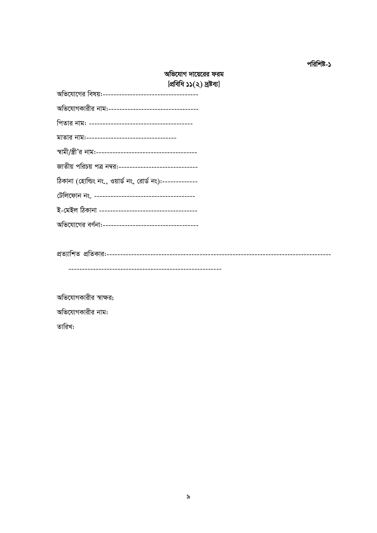### পরিশিষ্ট-১

# অভিযোগ দায়েরের ফরম [প্ৰবিধি ১১(২) দ্ৰষ্টব্য]

| 1.1.1.1                                                   |
|-----------------------------------------------------------|
| অভিযোগকারীর নাম:----------------------------------        |
|                                                           |
| মাতার নাম:----------------------------------              |
|                                                           |
| জাতীয় পরিচয় পত্র নম্বর:-----------------------------    |
| ঠিকানা (হোল্ডিং নং., ওয়ার্ড নং, রোর্ড নং):-------------- |
|                                                           |
|                                                           |
|                                                           |

অভিযোগকারীর স্বাক্ষর; অভিযোগকারীর নাম: তারিখ: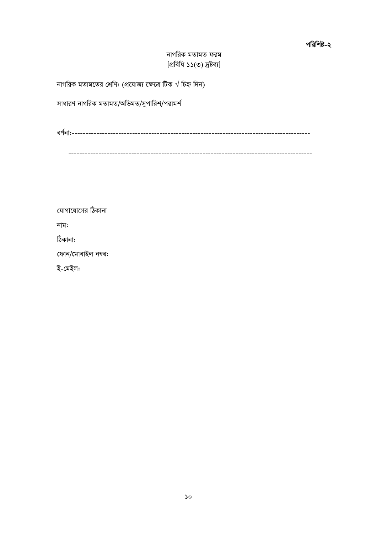### পরিশিষ্ট-২

নাগরিক মতামত ফরম [প্ৰবিধি ১১(৩) দ্ৰষ্টব্য]

নাগরিক মতামতের শ্রেণি: (প্রযোজ্য ক্ষেত্রে টিক  $\sqrt{6}$ হ্ন দিন)

সাধারণ নাগরিক মতামত/অভিমত/সুপারিশ/পরামর্শ

যোগাযোগের ঠিকানা

নাম:

ঠিকানা:

ফোন/মোবাইল নম্বর:

ই-মেইল: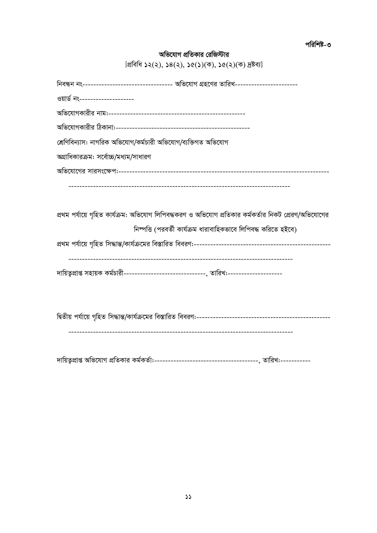পরিশিষ্ট-৩

# অভিযোগ প্রতিকার রেজিস্টার

| [প্ৰবিধি ১২(২), ১৪(২), ১৫(১)(ক), ১৫(২)(ক) দ্ৰষ্টব্য] |  |
|------------------------------------------------------|--|
|------------------------------------------------------|--|

| নিবন্ধন নং-------------------------------- অভিযোগ গ্রহণের তারিখ----------------------                |
|------------------------------------------------------------------------------------------------------|
| ওয়ার্ড নং--------------------                                                                       |
|                                                                                                      |
|                                                                                                      |
| শ্রেণিবিন্যাস: নাগরিক অভিযোগ/কর্মচারী অভিযোগ/ব্যক্তিগত অভিযোগ                                        |
| অগ্রাধিকারক্রম: সর্বোচ্চ/মধ্যম/সাধারণ                                                                |
|                                                                                                      |
|                                                                                                      |
|                                                                                                      |
| প্রথম পর্যায়ে গৃহিত কার্যক্রম: অভিযোগ লিপিবদ্ধকরণ ও অভিযোগ প্রতিকার কর্মকর্তার নিকট প্রেরণ/অভিযোগের |
| নিষ্পত্তি (পরবর্তী কার্যক্রম ধারাবাহিকভাবে লিপিবদ্ধ করিতে হইবে)                                      |
|                                                                                                      |
|                                                                                                      |
| দায়িতৃপ্রাপ্ত সহায়ক কর্মচারী--------------------------------, তারিখ:--------------------           |
|                                                                                                      |
|                                                                                                      |
|                                                                                                      |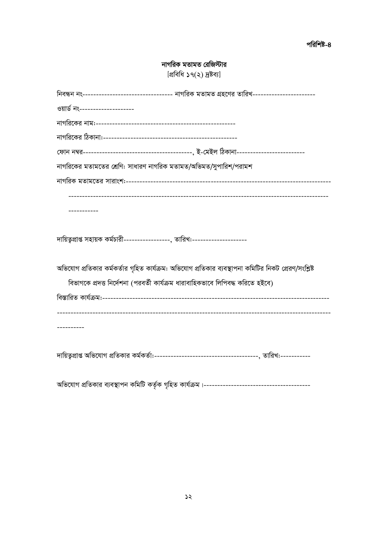| নাগরিক মতামত রেজিস্টার                                                                               |
|------------------------------------------------------------------------------------------------------|
| [প্ৰবিধি ১৭(২) দ্ৰষ্টব্য]                                                                            |
| নিবন্ধন নং-------------------------------- নাগরিক মতামত গ্রহণের তারিখ-----------------------         |
| ওয়ার্ড নং-------------------                                                                        |
|                                                                                                      |
|                                                                                                      |
|                                                                                                      |
| নাগরিকের মতামতের শ্রেণি: সাধারণ নাগরিক মতামত/অভিমত/সুপারিশ/পরামশ                                     |
|                                                                                                      |
|                                                                                                      |
|                                                                                                      |
| দায়িতৃপ্রাপ্ত সহায়ক কর্মচারী------------------, তারিখ:---------------------                        |
| অভিযোগ প্রতিকার কর্মকর্তার গৃহিত কার্যক্রম: অভিযোগ প্রতিকার ব্যবস্থাপনা কমিটির নিকট প্রেরণ/সংশ্লিষ্ট |
| বিভাগকে প্রদত্ত নির্দেশনা (পরবর্তী কার্যক্রম ধারাবাহিকভাবে লিপিবদ্ধ করিতে হইবে)                      |
|                                                                                                      |
|                                                                                                      |
|                                                                                                      |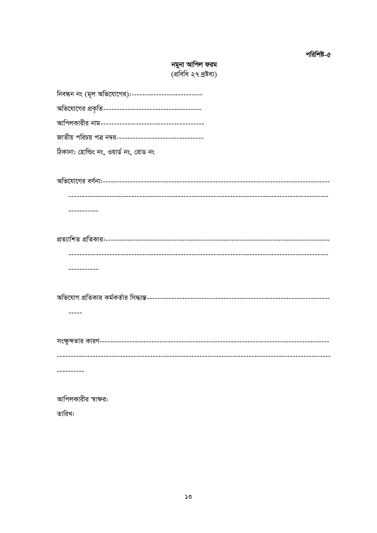# **নমুনা আপিল ফরম**<br>(প্রবিধি ২৭ দ্রষ্টব্য)

| নিবন্ধন নং (মূল অভিযোগের):--------------------------      |
|-----------------------------------------------------------|
|                                                           |
|                                                           |
| জাতীয় পরিচয় পত্র নম্বর--------------------------------- |
| ঠিকানা: হোল্ডিং নং, ওয়ার্ড নং, রোড নং                    |
|                                                           |
| ------------                                              |
|                                                           |
| --------                                                  |
|                                                           |
|                                                           |
| ------------------------------------<br>---------         |
| আপিলকারীর স্বাক্ষর:                                       |

তারিখ: